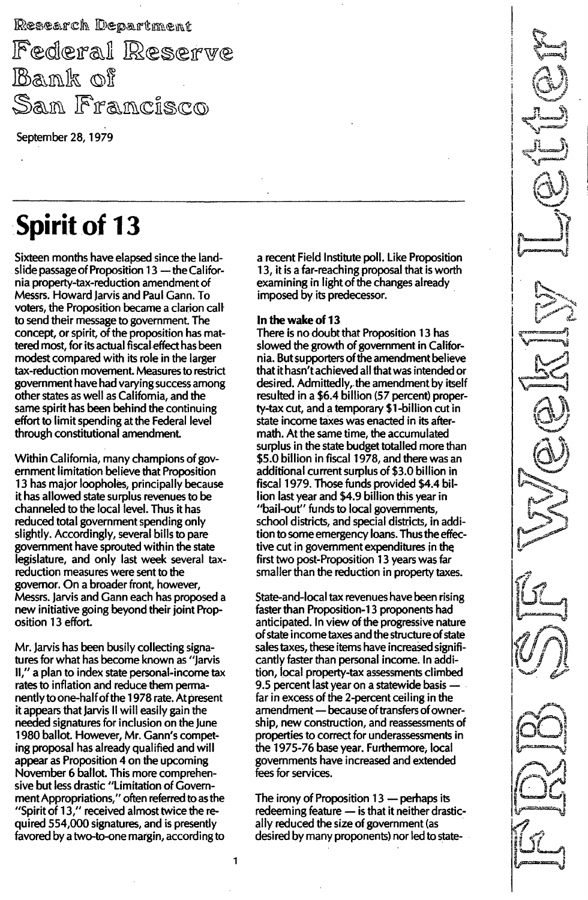Research Department

Federal Reserve Bank of San Francisco

------------. \_---\_. \_------\_. \_---

September 28, 1979

# **Spirit of 13**

Sixteen months have elapsed since the landslide passage of Proposition 13 - the California property-tax-reduction amendment of Messrs. Howard Jarvis and Paul Gann. To voters, the Proposition became a clarion call to send their message to government. The concept, or spirit, of the proposition has mattered most, for its actual fiscal effect has been modest compared with its role in the larger tax-reduction movement. Measures to restrict government have had varying success among other states as well as California, and the same spirit has been behind the continuing effort to limit spending at the Federal level through constitutional amendment.

Within California, many champions of government limitation believe that Proposition 13 has major loopholes, principally because it has allowed state surplus revenues to be channeled to the local level. Thus it has reduced total government spending only slightly. Accordingly, several bills to pare government have sprouted within the state legislature, and only last week several taxreduction measures were sent to the governor. On a broader front, however, Messrs. Jarvis and Gann each has proposed a new initiative going beyond their joint Proposition 13 effort.

Mr. Jarvis has been busily collecting signatures for what has become known as "Jarvis II," a plan to index state personal-income tax rates to inflation and reduce them permanently to one-half of the 1 978 rate. At present it appears that Jarvis II will easily gain the needed signatures for inclusion on the June 1 980 ballot. However, Mr. Gann's competing proposal has already qualified and will appear as Proposition 4 on the upcoming November 6 ballot. This more comprehensive but less drastic "Limitation of Government Appropriations," often referred to as the "Spirit of 13," received almost twice the required 554,000 signatures, and is presently favored by a two-to-one margin, according to

a recent Field Institute poll. Like Proposition 1 3, it is a far-reaching proposal that is worth examining in light of the changes already imposed by its predecessor.

### In the wake of 13

There is no doubt that Proposition 13 has slowed the growth of government in California. But supporters of the amendment believe that it hasn't achieved all that was intended or desired. Admittedly, the amendment by itself resulted in a \$6.4 billion (57 percent) property-tax cut, and a temporary \$1 -billion cut in state income taxes was enacted in its aftermath. At the same time, the accumulated surplus in the state budget totalled more than \$5.0 billion in fiscal 1 978, and there was an additional current surplus of \$3.0 billion in fiscal 1979. Those funds provided \$4.4 billion last year and \$4.9 billion this year in "bail-out" funds to local governments, school districts, and special districts, in addition to some emergency loans. Thus the effective cut in government expenditures in first two post-Proposition 13 years was far smaller than the reduction in property taxes.

State-and-Iocal tax revenues have been rising faster than Proposition-13 proponents had anticipated. In view of the progressive nature of state income taxes and the structure of state sales taxes, these items have increased significantly faster than personal income. In addition, local property-tax assessments climbed 9.5 percent last year on a statewide basis far in excess of the 2-percent ceiling in the amendment - because of transfers of ownership, new construction, and reassessments of properties to correct for underassessments in the 1975-76 base year. Furthermore, local governments have increased and extended fees for services.

The irony of Proposition  $13$  - perhaps its redeeming feature  $-$  is that it neither drastically reduced the size of government (as desired by many proponents) nor led to state-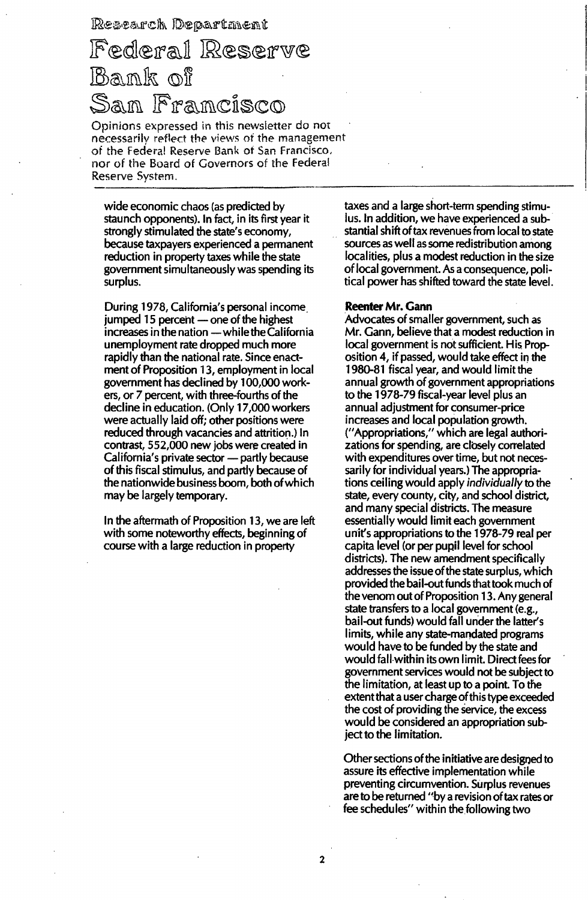### Research Department

## Federal Reserve Bank of Sam Framcisco

Opinions expressed in this newsletter do not necessarily reflect the views of the management of the Federal Reserve Bank of San Francisco, nor of the Board of Governors of the Federal Reserve System. .\_..•.•\_.\_------------ - - - - -

wide economic chaos (as predicted by staunch opponents). In fact, in its first year it strongly stimulated the state's economy, because taxpayers experienced a permanent reduction in property taxes while the state government simultaneously was spending its surplus.

During 1978, California's personal income jumped 15 percent  $-$  one of the highest  $increases$  in the nation  $-$  while the California unemployment rate dropped much more rapidly than the national rate. Since enactment of Proposition 13, employment in local government has declined by 1 00,000workers, or 7 percent, with three-fourths of the decline in education. (Only 17,000 workers were actually laid off; other positions were reduced through vacancies and attrition.) In contrast, 552,000 new jobs were created in California's private sector - partly because of this fiscal stimulus, and partly because of the nationwide business boom, both of which may be largely temporary.

In the aftermath of Proposition 13, we are left with some noteworthy effects, beginning of course with a large reduction in property

taxes and a large short-term spending stimulus. In addition, we have experienced a substantial shift of tax revenues from local to state sources as well as some redistribution among localities, plus a modest reduction in the size of local government. As a consequence, political power has shifted toward the state level.

#### Reenter Mr. Gann

Advocates of smaller government, such as Mr. Gann, believe that a modest reduction in local government is not sufficient. His Proposition 4, if passed, would take effect in the 1980-81 fiscal year, and would limit the annual growth of government appropriations to the 1978-79 fiscal-year level plus an annual adjustment for consumer-price increases and local population growth. ("Appropriations," which are legal authorizations for spending, are closely correlated with expenditures over time, but not necessarily for individual years.) The appropriations ceiling would apply *individually* to the state, every county, city, and school district, and many special districts. The measure essentially would limit each government unit's appropriations to the 1 978-79 real per capita level (or per pupil level for school districts). The new amendment specifically addresses the issue of the state surplus, which provided the bail-out funds that took much of the venom out of Proposition 13. Any general state transfers to a local government (e.g., bail-out funds) would fall under the latter's limits, while any state-mandated programs would have to be funded by the state and would fall within its own limit. Direct fees for government services would not be subject to the limitation, at least up to a point. To the extent that a user charge of this type exceeded the cost of providing the service, the excess would be considered an appropriation subject to the limitation.

Other sections of the initiative are designed to assure its effective implementation while preventing circumvention. Surplus revenues are to be returned "by a revision of tax rates or fee schedules" within the following two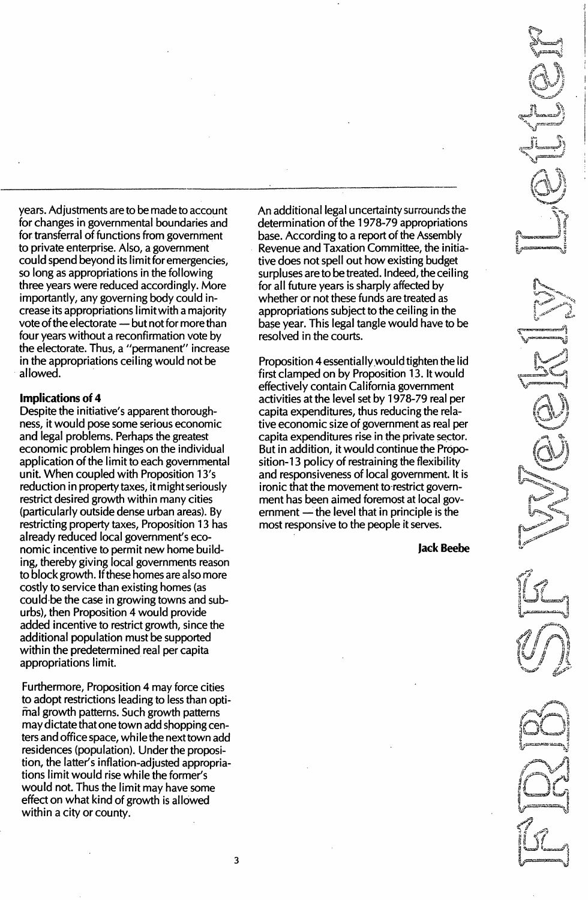years. Adjustments are to be made to account for changes in governmental boundaries and for transferral of functions from government to private enterprise. Also, a government could spend beyond its limit for emergencies, so long as appropriations in the following three years were reduced accordingly. More importantly, any governing body could increase its appropriations limitwith a majority vote of the electorate - but not for more than four years without a reconfirmation vote by the electorate. Thus, a "permanent" increase in the appropriations ceiling would not be allowed.

-----------------\_. \_---------\_. \_. \_--------------\_. \_\_..-------------------\_ ...\_-\_.

### Implications of 4

Despite the initiative's apparent thoroughness, it would pose some serious economic and legal problems. Perhaps the greatest economic problem hinges on the individual application of the limit to each governmental unit. When coupled with Proposition 13's reduction in property taxes, it might seriously restrict desired growth within many cities (particularly outside dense urban areas). By restricting property taxes, Proposition 13 has already reduced local government's economic incentive to permit new home building, thereby giving local governments reason to block growth. If these homes are also more costly to service than existing homes (as could·be the case in growing towns and suburbs), then Proposition 4 would provide added incentive to restrict growth, since the additional population must be supported within the predetermined real per capita appropriations limit.

Furthermore, Proposition 4 may force cities to adopt restrictions leading to less than optimal growth patterns. Such growth patterns may dictate that one town add shopping centers and office space, while the next town add residences (population). Under the proposition, the latter's inflation-adjusted appropriations limit would rise while the former's would not. Thus the limit may have some effect on what kind of growth is allowed within a city or county.

An additional legal uncertainty surrounds the determination of the 1 978-79 appropriations base. According to a report of the Assembly Revenue and Taxation Committee, the initiative does not spell out how existing budget surpluses are to be treated. Indeed, the ceiling for all future years is sharply affected by whether or not these funds are treated as appropriations subject to the ceiling in the base year. This legal tangle would have to be resolved in the courts.

Proposition 4 essentiallywould tighten the lid first clamped on by Proposition 13. It would effectively contain California government activities at the level set by 1 978-79 real per capita expenditures, thus reducing the relative economic size of government as real per capita expenditures rise in the private sector. But in addition, it would continue the Proposition-13 policy of restraining the flexibility and responsiveness of local government. It is ironic that the movement to restrict government has been aimed foremost at local government  $-$  the level that in principle is the most responsive to the people it serves.

Jack Beebe